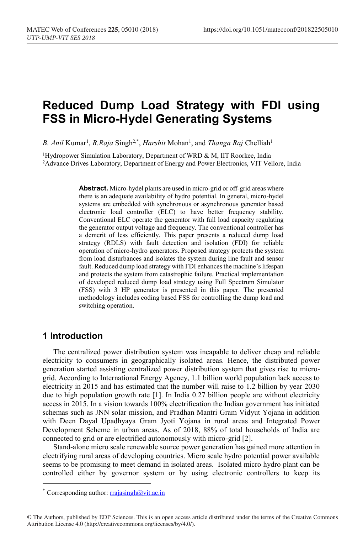# **Reduced Dump Load Strategy with FDI using FSS in Micro-Hydel Generating Systems**

B. Anil Kumar<sup>1</sup>, *R.Raja* Singh<sup>2,\*</sup>, *Harshit* Mohan<sup>1</sup>, and *Thanga Raj* Chelliah<sup>1</sup>

<sup>1</sup>Hydropower Simulation Laboratory, Department of WRD & M, IIT Roorkee, India <sup>2</sup>Advance Drives Laboratory, Department of Energy and Power Electronics, VIT Vellore, India

> **Abstract.** Micro-hydel plants are used in micro-grid or off-grid areas where there is an adequate availability of hydro potential. In general, micro-hydel systems are embedded with synchronous or asynchronous generator based electronic load controller (ELC) to have better frequency stability. Conventional ELC operate the generator with full load capacity regulating the generator output voltage and frequency. The conventional controller has a demerit of less efficiently. This paper presents a reduced dump load strategy (RDLS) with fault detection and isolation (FDI) for reliable operation of micro-hydro generators. Proposed strategy protects the system from load disturbances and isolates the system during line fault and sensor fault. Reduced dump load strategy with FDI enhances the machine's lifespan and protects the system from catastrophic failure. Practical implementation of developed reduced dump load strategy using Full Spectrum Simulator (FSS) with 3 HP generator is presented in this paper. The presented methodology includes coding based FSS for controlling the dump load and switching operation.

#### **1 Introduction**

The centralized power distribution system was incapable to deliver cheap and reliable electricity to consumers in geographically isolated areas. Hence, the distributed power generation started assisting centralized power distribution system that gives rise to microgrid. According to International Energy Agency, 1.1 billion world population lack access to electricity in 2015 and has estimated that the number will raise to 1.2 billion by year 2030 due to high population growth rate [1]. In India 0.27 billion people are without electricity access in 2015. In a vision towards 100% electrification the Indian government has initiated schemas such as JNN solar mission, and Pradhan Mantri Gram Vidyut Yojana in addition with Deen Dayal Upadhyaya Gram Jyoti Yojana in rural areas and Integrated Power Development Scheme in urban areas. As of 2018, 88% of total households of India are connected to grid or are electrified autonomously with micro-grid [2].

Stand-alone micro scale renewable source power generation has gained more attention in electrifying rural areas of developing countries. Micro scale hydro potential power available seems to be promising to meet demand in isolated areas. Isolated micro hydro plant can be controlled either by governor system or by using electronic controllers to keep its

<sup>\*</sup> Corresponding author:  $rrajasingh@vit.ac.in$ 

<sup>©</sup> The Authors, published by EDP Sciences. This is an open access article distributed under the terms of the Creative Commons Attribution License 4.0 (http://creativecommons.org/licenses/by/4.0/).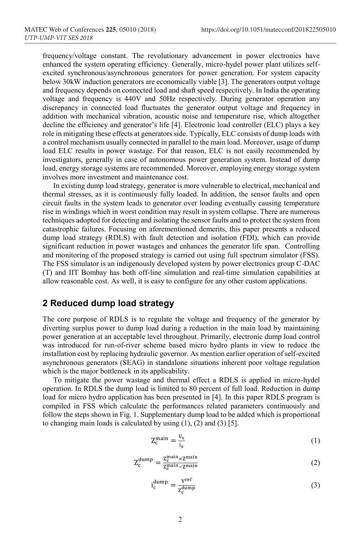frequency/voltage constant. The revolutionary advancement in power electronics have enhanced the system operating efficiency. Generally, micro-hydel power plant utilizes selfexcited synchronous/asynchronous generators for power generation. For system capacity below 30kW induction generators are economically viable [3]. The generators output voltage and frequency depends on connected load and shaft speed respectively. In India the operating voltage and frequency is 440V and 50Hz respectively. During generator operation any discrepancy in connected load fluctuates the generator output voltage and frequency in addition with mechanical vibration, acoustic noise and temperature rise, which altogether decline the efficiency and generator's life [4]. Electronic load controller (ELC) plays a key role in mitigating these effects at generators side. Typically, ELC consists of dump loads with a control mechanism usually connected in parallel to the main load. Moreover, usage of dump load ELC results in power wastage. For that reason, ELC is not easily recommended by investigators, generally in case of autonomous power generation system. Instead of dump load, energy storage systems are recommended. Moreover, employing energy storage system involves more investment and maintenance cost.

In existing dump load strategy, generator is more vulnerable to electrical, mechanical and thermal stresses, as it is continuously fully loaded. In addition, the sensor faults and open circuit faults in the system leads to generator over loading eventually causing temperature rise in windings which in worst condition may result in system collapse. There are numerous techniques adopted for detecting and isolating the sensor faults and to protect the system from catastrophic failures. Focusing on aforementioned demerits, this paper presents a reduced dump load strategy (RDLS) with fault detection and isolation (FDI), which can provide significant reduction in power wastages and enhances the generator life span. Controlling and monitoring of the proposed strategy is carried out using full spectrum simulator (FSS). The FSS simulator is an indigenously developed system by power electronics group C-DAC (T) and IIT Bombay has both off-line simulation and real-time simulation capabilities at allow reasonable cost. As well, it is easy to configure for any other custom applications.

#### **2 Reduced dump load strategy**

The core purpose of RDLS is to regulate the voltage and frequency of the generator by diverting surplus power to dump load during a reduction in the main load by maintaining power generation at an acceptable level throughout. Primarily, electronic dump load control was introduced for run-of-river scheme based micro hydro plants in view to reduce the installation cost by replacing hydraulic governor. As mention earlier operation of self-excited asynchronous generators (SEAG) in standalone situations inherent poor voltage regulation which is the major bottleneck in its applicability.

To mitigate the power wastage and thermal effect a RDLS is applied in micro-hydel operation. In RDLS the dump load is limited to 80 percent of full load. Reduction in dump load for micro hydro application has been presented in [4]. In this paper RDLS program is compiled in FSS which calculate the performances related parameters continuously and follow the steps shown in Fig. 1. Supplementary dump load to be added which is proportional to changing main loads is calculated by using  $(1)$ ,  $(2)$  and  $(3)$  [5].

$$
Z_c^{\text{main}} = \frac{v_s}{i_s} \tag{1}
$$

$$
Z_c^{\text{dump}} = \frac{Z_c^{\text{main}} \times Z^{\text{main}}}{Z_c^{\text{main}} - Z^{\text{main}}}
$$
 (2)

$$
i_c^{\text{dump}} = \frac{v^{\text{ref}}}{z_c^{\text{dump}}} \tag{3}
$$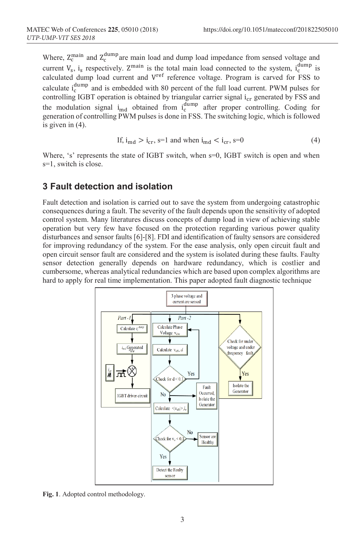Where,  $Z_c^{\text{main}}$  and  $Z_c^{\text{dump}}$  are main load and dump load impedance from sensed voltage and current  $V_s$ ,  $i_s$  respectively.  $Z^{\text{main}}$  is the total main load connected to the system,  $i_c^{\text{dump}}$  is calculated dump load current and Vref reference voltage. Program is carved for FSS to calculate  $i_c^{\text{dump}}$  and is embedded with 80 percent of the full load current. PWM pulses for controlling IGBT operation is obtained by triangular carrier signal  $i_{cr}$  generated by FSS and the modulation signal  $i_{\text{md}}$  obtained from  $i_{\text{c}}^{\text{dump}}$  after proper controlling. Coding for generation of controlling PWM pulses is done in FSS. The switching logic, which is followed is given in (4).

If, 
$$
i_{\rm md} > i_{\rm cr}
$$
,  $s = 1$  and when  $i_{\rm md} < i_{\rm cr}$ ,  $s = 0$   $(4)$ 

Where, 's' represents the state of IGBT switch, when  $s=0$ , IGBT switch is open and when s=1, switch is close.

#### **3 Fault detection and isolation**

Fault detection and isolation is carried out to save the system from undergoing catastrophic consequences during a fault. The severity of the fault depends upon the sensitivity of adopted control system. Many literatures discuss concepts of dump load in view of achieving stable operation but very few have focused on the protection regarding various power quality disturbances and sensor faults [6]-[8]. FDI and identification of faulty sensors are considered for improving redundancy of the system. For the ease analysis, only open circuit fault and open circuit sensor fault are considered and the system is isolated during these faults. Faulty sensor detection generally depends on hardware redundancy, which is costlier and cumbersome, whereas analytical redundancies which are based upon complex algorithms are hard to apply for real time implementation. This paper adopted fault diagnostic technique



**Fig. 1**. Adopted control methodology.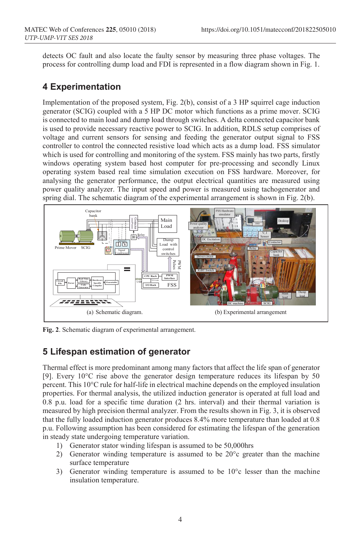detects OC fault and also locate the faulty sensor by measuring three phase voltages. The process for controlling dump load and FDI is represented in a flow diagram shown in Fig. 1.

## **4 Experimentation**

Implementation of the proposed system, Fig. 2(b), consist of a 3 HP squirrel cage induction generator (SCIG) coupled with a 5 HP DC motor which functions as a prime mover. SCIG is connected to main load and dump load through switches. A delta connected capacitor bank is used to provide necessary reactive power to SCIG. In addition, RDLS setup comprises of voltage and current sensors for sensing and feeding the generator output signal to FSS controller to control the connected resistive load which acts as a dump load. FSS simulator which is used for controlling and monitoring of the system. FSS mainly has two parts, firstly windows operating system based host computer for pre-processing and secondly Linux operating system based real time simulation execution on FSS hardware. Moreover, for analysing the generator performance, the output electrical quantities are measured using power quality analyzer. The input speed and power is measured using tachogenerator and spring dial. The schematic diagram of the experimental arrangement is shown in Fig. 2(b).



**Fig. 2**. Schematic diagram of experimental arrangement.

# **5 Lifespan estimation of generator**

Thermal effect is more predominant among many factors that affect the life span of generator [9]. Every 10°C rise above the generator design temperature reduces its lifespan by 50 percent. This 10°C rule for half-life in electrical machine depends on the employed insulation properties. For thermal analysis, the utilized induction generator is operated at full load and 0.8 p.u. load for a specific time duration (2 hrs. interval) and their thermal variation is measured by high precision thermal analyzer. From the results shown in Fig. 3, it is observed that the fully loaded induction generator produces 8.4% more temperature than loaded at 0.8 p.u. Following assumption has been considered for estimating the lifespan of the generation in steady state undergoing temperature variation.

- 1) Generator stator winding lifespan is assumed to be 50,000hrs
- 2) Generator winding temperature is assumed to be  $20^{\circ}$ c greater than the machine surface temperature
- 3) Generator winding temperature is assumed to be 10°c lesser than the machine insulation temperature.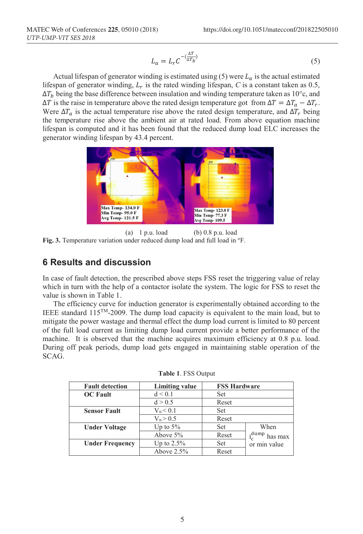$$
L_a = L_r C^{-\left(\frac{\Delta T}{\Delta T_b}\right)}\tag{5}
$$

Actual lifespan of generator winding is estimated using (5) were  $L_a$  is the actual estimated lifespan of generator winding,  $L_r$  is the rated winding lifespan, C is a constant taken as 0.5,  $\Delta T_h$  being the base difference between insulation and winding temperature taken as 10°c, and  $\Delta T$  is the raise in temperature above the rated design temperature got from  $\Delta T = \Delta T_a - \Delta T_r$ . Were  $\Delta T_a$  is the actual temperature rise above the rated design temperature, and  $\Delta T_r$  being the temperature rise above the ambient air at rated load. From above equation machine lifespan is computed and it has been found that the reduced dump load ELC increases the generator winding lifespan by 43.4 percent.



(a) 1 p.u. load (b) 0.8 p.u. load Fig. 3. Temperature variation under reduced dump load and full load in <sup>o</sup>F.

#### **6 Results and discussion**

In case of fault detection, the prescribed above steps FSS reset the triggering value of relay which in turn with the help of a contactor isolate the system. The logic for FSS to reset the value is shown in Table 1.

The efficiency curve for induction generator is experimentally obtained according to the IEEE standard  $115^{TM}$ -2009. The dump load capacity is equivalent to the main load, but to mitigate the power wastage and thermal effect the dump load current is limited to 80 percent of the full load current as limiting dump load current provide a better performance of the machine. It is observed that the machine acquires maximum efficiency at 0.8 p.u. load. During off peak periods, dump load gets engaged in maintaining stable operation of the SCAG.

| <b>Fault detection</b> | <b>Limiting value</b> | <b>FSS Hardware</b> |                  |
|------------------------|-----------------------|---------------------|------------------|
| <b>OC</b> Fault        | d < 0.1               | Set                 |                  |
|                        | d > 0.5               | Reset               |                  |
| <b>Sensor Fault</b>    | $V_n < 0.1$           | Set                 |                  |
|                        | $V_n > 0.5$           | Reset               |                  |
| <b>Under Voltage</b>   | Up to $5\%$           | Set                 | When             |
|                        | Above $5\%$           | Reset               | .dump<br>has max |
| <b>Under Frequency</b> | Up to $2.5\%$         | Set                 | or min value     |
|                        | Above $2.5%$          | Reset               |                  |

| <b>Table 1. FSS Output</b> |  |  |  |  |
|----------------------------|--|--|--|--|
|----------------------------|--|--|--|--|